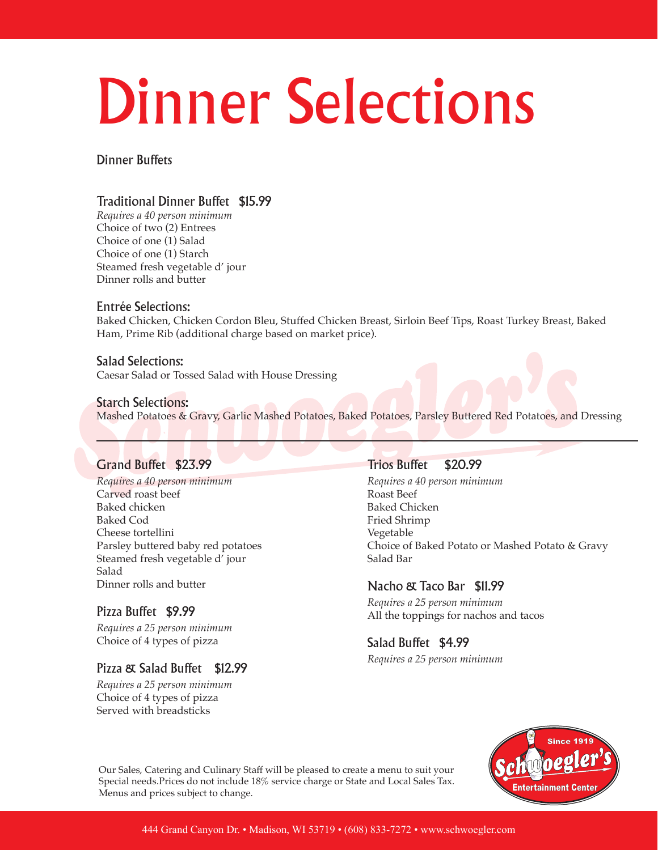# Dinner Selections

Dinner Buffets

### Traditional Dinner Buffet \$15.99

*Requires a 40 person minimum* Choice of two (2) Entrees Choice of one (1) Salad Choice of one (1) Starch Steamed fresh vegetable d' jour Dinner rolls and butter

#### Entrée Selections:

Baked Chicken, Chicken Cordon Bleu, Stuffed Chicken Breast, Sirloin Beef Tips, Roast Turkey Breast, Baked Ham, Prime Rib (additional charge based on market price).

#### Salad Selections: Caesar Salad or Tossed Salad with House Dressing

#### Starch Selections:

Mashed Potatoes & Gravy, Garlic Mashed Potatoes, Baked Potatoes, Parsley Buttered Red Potatoes, and Dressing

### Grand Buffet \$23.99

*Requires a 40 person minimum* Carved roast beef Baked chicken Baked Cod Cheese tortellini Parsley buttered baby red potatoes Steamed fresh vegetable d' jour Salad Dinner rolls and butter

### Pizza Buffet \$9.99

*Requires a 25 person minimum* Choice of 4 types of pizza

#### Pizza & Salad Buffet \$12.99

*Requires a 25 person minimum* Choice of 4 types of pizza Served with breadsticks

#### Trios Buffet \$20.99

*Requires a 40 person minimum* Roast Beef Baked Chicken Fried Shrimp Vegetable Choice of Baked Potato or Mashed Potato & Gravy Salad Bar

#### Nacho & Taco Bar \$11.99

*Requires a 25 person minimum* All the toppings for nachos and tacos

## Salad Buffet \$4.99

*Requires a 25 person minimum*



Our Sales, Catering and Culinary Staff will be pleased to create a menu to suit your Special needs.Prices do not include 18% service charge or State and Local Sales Tax. Menus and prices subject to change.